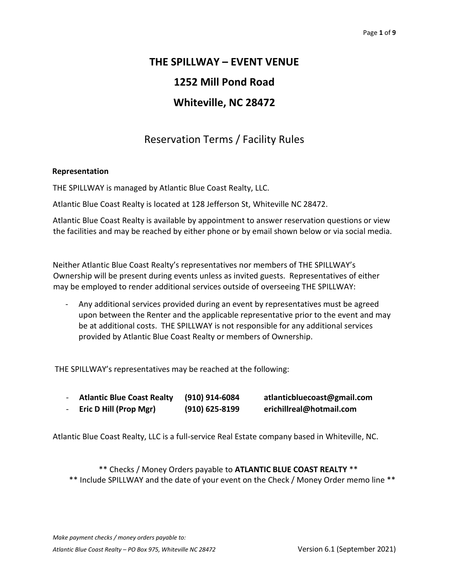# **THE SPILLWAY – EVENT VENUE 1252 Mill Pond Road Whiteville, NC 28472**

## Reservation Terms / Facility Rules

#### **Representation**

THE SPILLWAY is managed by Atlantic Blue Coast Realty, LLC.

Atlantic Blue Coast Realty is located at 128 Jefferson St, Whiteville NC 28472.

Atlantic Blue Coast Realty is available by appointment to answer reservation questions or view the facilities and may be reached by either phone or by email shown below or via social media.

Neither Atlantic Blue Coast Realty's representatives nor members of THE SPILLWAY's Ownership will be present during events unless as invited guests. Representatives of either may be employed to render additional services outside of overseeing THE SPILLWAY:

- Any additional services provided during an event by representatives must be agreed upon between the Renter and the applicable representative prior to the event and may be at additional costs. THE SPILLWAY is not responsible for any additional services provided by Atlantic Blue Coast Realty or members of Ownership.

THE SPILLWAY's representatives may be reached at the following:

| <b>Atlantic Blue Coast Realty</b> | (910) 914-6084   | atlanticbluecoast@gmail.com |
|-----------------------------------|------------------|-----------------------------|
| Eric D Hill (Prop Mgr)            | $(910)$ 625-8199 | erichillreal@hotmail.com    |

Atlantic Blue Coast Realty, LLC is a full-service Real Estate company based in Whiteville, NC.

\*\* Checks / Money Orders payable to **ATLANTIC BLUE COAST REALTY** \*\* \*\* Include SPILLWAY and the date of your event on the Check / Money Order memo line \*\*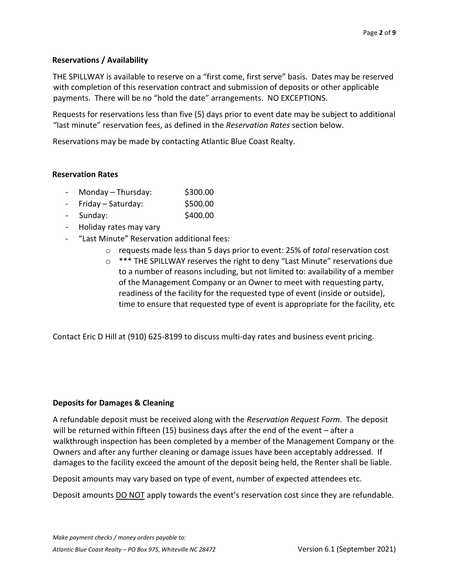#### **Reservations / Availability**

THE SPILLWAY is available to reserve on a "first come, first serve" basis. Dates may be reserved with completion of this reservation contract and submission of deposits or other applicable payments. There will be no "hold the date" arrangements. NO EXCEPTIONS.

Requests for reservations less than five (5) days prior to event date may be subject to additional "last minute" reservation fees, as defined in the *Reservation Rates* section below.

Reservations may be made by contacting Atlantic Blue Coast Realty.

#### **Reservation Rates**

- $Monday Thursday:$ \$300.00
- Friday Saturday: \$500.00
- Sunday: \$400.00
- Holiday rates may vary
- "Last Minute" Reservation additional fees:
	- o requests made less than 5 days prior to event: 25% of *total* reservation cost
	- o \*\*\* THE SPILLWAY reserves the right to deny "Last Minute" reservations due to a number of reasons including, but not limited to: availability of a member of the Management Company or an Owner to meet with requesting party, readiness of the facility for the requested type of event (inside or outside), time to ensure that requested type of event is appropriate for the facility, etc

Contact Eric D Hill at (910) 625-8199 to discuss multi-day rates and business event pricing.

#### **Deposits for Damages & Cleaning**

A refundable deposit must be received along with the *Reservation Request Form*. The deposit will be returned within fifteen (15) business days after the end of the event – after a walkthrough inspection has been completed by a member of the Management Company or the Owners and after any further cleaning or damage issues have been acceptably addressed. If damages to the facility exceed the amount of the deposit being held, the Renter shall be liable.

Deposit amounts may vary based on type of event, number of expected attendees etc.

Deposit amounts DO NOT apply towards the event's reservation cost since they are refundable.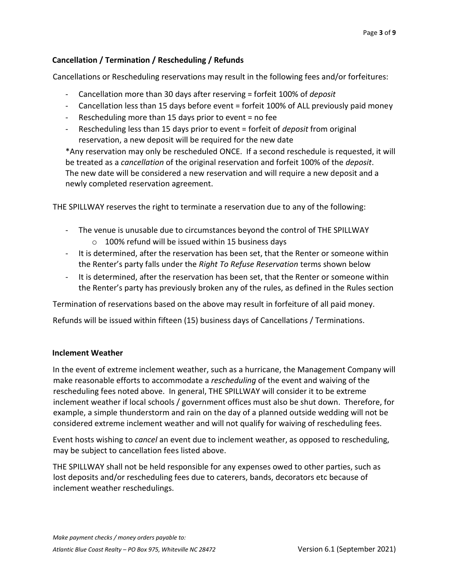## **Cancellation / Termination / Rescheduling / Refunds**

Cancellations or Rescheduling reservations may result in the following fees and/or forfeitures:

- Cancellation more than 30 days after reserving = forfeit 100% of *deposit*
- Cancellation less than 15 days before event = forfeit 100% of ALL previously paid money
- Rescheduling more than 15 days prior to event = no fee
- Rescheduling less than 15 days prior to event = forfeit of *deposit* from original reservation, a new deposit will be required for the new date

\*Any reservation may only be rescheduled ONCE. If a second reschedule is requested, it will be treated as a *cancellation* of the original reservation and forfeit 100% of the *deposit*. The new date will be considered a new reservation and will require a new deposit and a newly completed reservation agreement.

THE SPILLWAY reserves the right to terminate a reservation due to any of the following:

- The venue is unusable due to circumstances beyond the control of THE SPILLWAY o 100% refund will be issued within 15 business days
- It is determined, after the reservation has been set, that the Renter or someone within the Renter's party falls under the *Right To Refuse Reservation* terms shown below
- It is determined, after the reservation has been set, that the Renter or someone within the Renter's party has previously broken any of the rules, as defined in the Rules section

Termination of reservations based on the above may result in forfeiture of all paid money.

Refunds will be issued within fifteen (15) business days of Cancellations / Terminations.

#### **Inclement Weather**

In the event of extreme inclement weather, such as a hurricane, the Management Company will make reasonable efforts to accommodate a *rescheduling* of the event and waiving of the rescheduling fees noted above. In general, THE SPILLWAY will consider it to be extreme inclement weather if local schools / government offices must also be shut down. Therefore, for example, a simple thunderstorm and rain on the day of a planned outside wedding will not be considered extreme inclement weather and will not qualify for waiving of rescheduling fees.

Event hosts wishing to *cancel* an event due to inclement weather, as opposed to rescheduling, may be subject to cancellation fees listed above.

THE SPILLWAY shall not be held responsible for any expenses owed to other parties, such as lost deposits and/or rescheduling fees due to caterers, bands, decorators etc because of inclement weather reschedulings.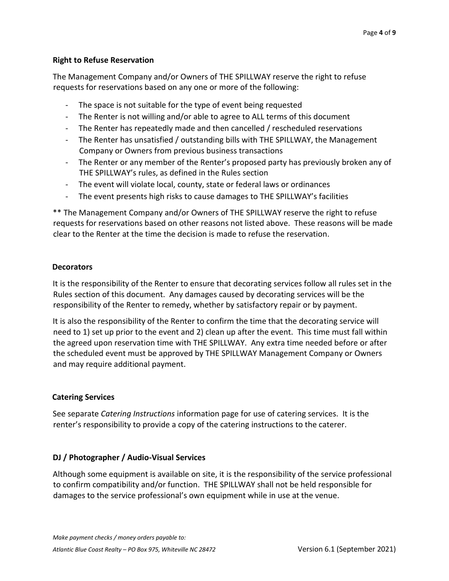#### **Right to Refuse Reservation**

The Management Company and/or Owners of THE SPILLWAY reserve the right to refuse requests for reservations based on any one or more of the following:

- The space is not suitable for the type of event being requested
- The Renter is not willing and/or able to agree to ALL terms of this document
- The Renter has repeatedly made and then cancelled / rescheduled reservations
- The Renter has unsatisfied / outstanding bills with THE SPILLWAY, the Management Company or Owners from previous business transactions
- The Renter or any member of the Renter's proposed party has previously broken any of THE SPILLWAY's rules, as defined in the Rules section
- The event will violate local, county, state or federal laws or ordinances
- The event presents high risks to cause damages to THE SPILLWAY's facilities

\*\* The Management Company and/or Owners of THE SPILLWAY reserve the right to refuse requests for reservations based on other reasons not listed above. These reasons will be made clear to the Renter at the time the decision is made to refuse the reservation.

## **Decorators**

It is the responsibility of the Renter to ensure that decorating services follow all rules set in the Rules section of this document. Any damages caused by decorating services will be the responsibility of the Renter to remedy, whether by satisfactory repair or by payment.

It is also the responsibility of the Renter to confirm the time that the decorating service will need to 1) set up prior to the event and 2) clean up after the event. This time must fall within the agreed upon reservation time with THE SPILLWAY. Any extra time needed before or after the scheduled event must be approved by THE SPILLWAY Management Company or Owners and may require additional payment.

## **Catering Services**

See separate *Catering Instructions* information page for use of catering services. It is the renter's responsibility to provide a copy of the catering instructions to the caterer.

## **DJ / Photographer / Audio-Visual Services**

Although some equipment is available on site, it is the responsibility of the service professional to confirm compatibility and/or function. THE SPILLWAY shall not be held responsible for damages to the service professional's own equipment while in use at the venue.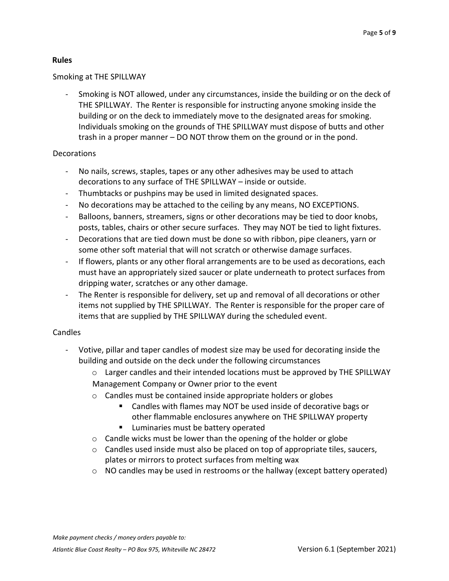## **Rules**

#### Smoking at THE SPILLWAY

- Smoking is NOT allowed, under any circumstances, inside the building or on the deck of THE SPILLWAY. The Renter is responsible for instructing anyone smoking inside the building or on the deck to immediately move to the designated areas for smoking. Individuals smoking on the grounds of THE SPILLWAY must dispose of butts and other trash in a proper manner – DO NOT throw them on the ground or in the pond.

## Decorations

- No nails, screws, staples, tapes or any other adhesives may be used to attach decorations to any surface of THE SPILLWAY – inside or outside.
- Thumbtacks or pushpins may be used in limited designated spaces.
- No decorations may be attached to the ceiling by any means, NO EXCEPTIONS.
- Balloons, banners, streamers, signs or other decorations may be tied to door knobs, posts, tables, chairs or other secure surfaces. They may NOT be tied to light fixtures.
- Decorations that are tied down must be done so with ribbon, pipe cleaners, yarn or some other soft material that will not scratch or otherwise damage surfaces.
- If flowers, plants or any other floral arrangements are to be used as decorations, each must have an appropriately sized saucer or plate underneath to protect surfaces from dripping water, scratches or any other damage.
- The Renter is responsible for delivery, set up and removal of all decorations or other items not supplied by THE SPILLWAY. The Renter is responsible for the proper care of items that are supplied by THE SPILLWAY during the scheduled event.

## Candles

- Votive, pillar and taper candles of modest size may be used for decorating inside the building and outside on the deck under the following circumstances
	- $\circ$  Larger candles and their intended locations must be approved by THE SPILLWAY Management Company or Owner prior to the event
	- o Candles must be contained inside appropriate holders or globes
		- Candles with flames may NOT be used inside of decorative bags or other flammable enclosures anywhere on THE SPILLWAY property
		- Luminaries must be battery operated
	- o Candle wicks must be lower than the opening of the holder or globe
	- $\circ$  Candles used inside must also be placed on top of appropriate tiles, saucers, plates or mirrors to protect surfaces from melting wax
	- o NO candles may be used in restrooms or the hallway (except battery operated)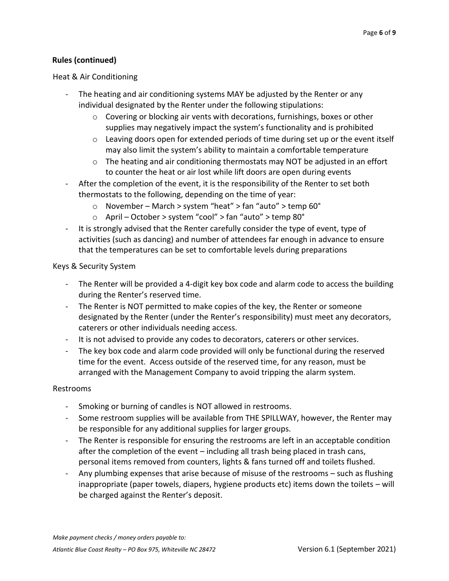## **Rules (continued)**

#### Heat & Air Conditioning

- The heating and air conditioning systems MAY be adjusted by the Renter or any individual designated by the Renter under the following stipulations:
	- o Covering or blocking air vents with decorations, furnishings, boxes or other supplies may negatively impact the system's functionality and is prohibited
	- $\circ$  Leaving doors open for extended periods of time during set up or the event itself may also limit the system's ability to maintain a comfortable temperature
	- $\circ$  The heating and air conditioning thermostats may NOT be adjusted in an effort to counter the heat or air lost while lift doors are open during events
- After the completion of the event, it is the responsibility of the Renter to set both thermostats to the following, depending on the time of year:
	- o November March > system "heat" > fan "auto" > temp 60°
	- o April October > system "cool" > fan "auto" > temp 80°
- It is strongly advised that the Renter carefully consider the type of event, type of activities (such as dancing) and number of attendees far enough in advance to ensure that the temperatures can be set to comfortable levels during preparations

#### Keys & Security System

- The Renter will be provided a 4-digit key box code and alarm code to access the building during the Renter's reserved time.
- The Renter is NOT permitted to make copies of the key, the Renter or someone designated by the Renter (under the Renter's responsibility) must meet any decorators, caterers or other individuals needing access.
- It is not advised to provide any codes to decorators, caterers or other services.
- The key box code and alarm code provided will only be functional during the reserved time for the event. Access outside of the reserved time, for any reason, must be arranged with the Management Company to avoid tripping the alarm system.

#### Restrooms

- Smoking or burning of candles is NOT allowed in restrooms.
- Some restroom supplies will be available from THE SPILLWAY, however, the Renter may be responsible for any additional supplies for larger groups.
- The Renter is responsible for ensuring the restrooms are left in an acceptable condition after the completion of the event – including all trash being placed in trash cans, personal items removed from counters, lights & fans turned off and toilets flushed.
- Any plumbing expenses that arise because of misuse of the restrooms such as flushing inappropriate (paper towels, diapers, hygiene products etc) items down the toilets – will be charged against the Renter's deposit.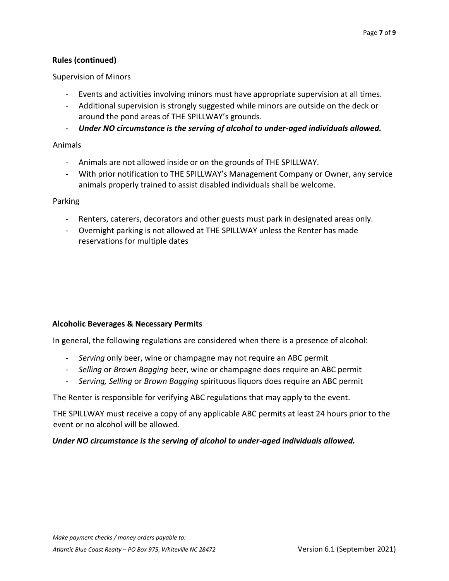## **Rules (continued)**

Supervision of Minors

- Events and activities involving minors must have appropriate supervision at all times.
- Additional supervision is strongly suggested while minors are outside on the deck or around the pond areas of THE SPILLWAY's grounds.
- *Under NO circumstance is the serving of alcohol to under-aged individuals allowed.*

#### Animals

- Animals are not allowed inside or on the grounds of THE SPILLWAY.
- With prior notification to THE SPILLWAY's Management Company or Owner, any service animals properly trained to assist disabled individuals shall be welcome.

#### Parking

- Renters, caterers, decorators and other guests must park in designated areas only.
- Overnight parking is not allowed at THE SPILLWAY unless the Renter has made reservations for multiple dates

#### **Alcoholic Beverages & Necessary Permits**

In general, the following regulations are considered when there is a presence of alcohol:

- *Serving* only beer, wine or champagne may not require an ABC permit
- *Selling* or *Brown Bagging* beer, wine or champagne does require an ABC permit
- *Serving, Selling* or *Brown Bagging* spirituous liquors does require an ABC permit

The Renter is responsible for verifying ABC regulations that may apply to the event.

THE SPILLWAY must receive a copy of any applicable ABC permits at least 24 hours prior to the event or no alcohol will be allowed.

#### *Under NO circumstance is the serving of alcohol to under-aged individuals allowed.*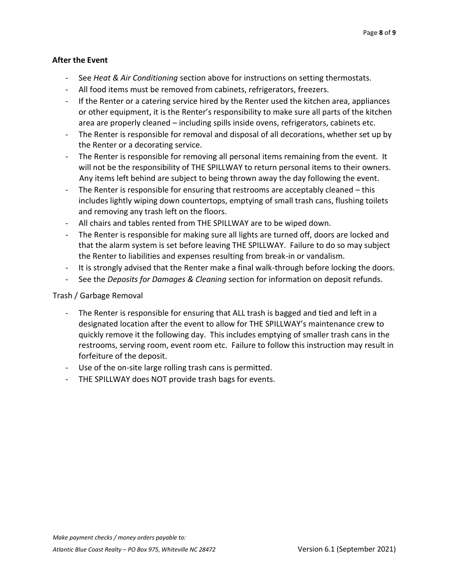## **After the Event**

- See *Heat & Air Conditioning* section above for instructions on setting thermostats.
- All food items must be removed from cabinets, refrigerators, freezers.
- If the Renter or a catering service hired by the Renter used the kitchen area, appliances or other equipment, it is the Renter's responsibility to make sure all parts of the kitchen area are properly cleaned – including spills inside ovens, refrigerators, cabinets etc.
- The Renter is responsible for removal and disposal of all decorations, whether set up by the Renter or a decorating service.
- The Renter is responsible for removing all personal items remaining from the event. It will not be the responsibility of THE SPILLWAY to return personal items to their owners. Any items left behind are subject to being thrown away the day following the event.
- The Renter is responsible for ensuring that restrooms are acceptably cleaned  $-$  this includes lightly wiping down countertops, emptying of small trash cans, flushing toilets and removing any trash left on the floors.
- All chairs and tables rented from THE SPILLWAY are to be wiped down.
- The Renter is responsible for making sure all lights are turned off, doors are locked and that the alarm system is set before leaving THE SPILLWAY. Failure to do so may subject the Renter to liabilities and expenses resulting from break-in or vandalism.
- It is strongly advised that the Renter make a final walk-through before locking the doors.
- See the *Deposits for Damages & Cleaning* section for information on deposit refunds.

#### Trash / Garbage Removal

- The Renter is responsible for ensuring that ALL trash is bagged and tied and left in a designated location after the event to allow for THE SPILLWAY's maintenance crew to quickly remove it the following day. This includes emptying of smaller trash cans in the restrooms, serving room, event room etc. Failure to follow this instruction may result in forfeiture of the deposit.
- Use of the on-site large rolling trash cans is permitted.
- THE SPILLWAY does NOT provide trash bags for events.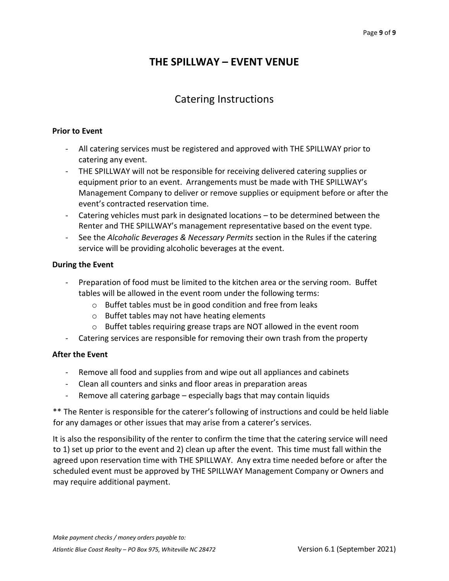## **THE SPILLWAY – EVENT VENUE**

## Catering Instructions

#### **Prior to Event**

- All catering services must be registered and approved with THE SPILLWAY prior to catering any event.
- THE SPILLWAY will not be responsible for receiving delivered catering supplies or equipment prior to an event. Arrangements must be made with THE SPILLWAY's Management Company to deliver or remove supplies or equipment before or after the event's contracted reservation time.
- Catering vehicles must park in designated locations to be determined between the Renter and THE SPILLWAY's management representative based on the event type.
- See the *Alcoholic Beverages & Necessary Permits* section in the Rules if the catering service will be providing alcoholic beverages at the event.

#### **During the Event**

- Preparation of food must be limited to the kitchen area or the serving room. Buffet tables will be allowed in the event room under the following terms:
	- o Buffet tables must be in good condition and free from leaks
	- o Buffet tables may not have heating elements
	- o Buffet tables requiring grease traps are NOT allowed in the event room
- Catering services are responsible for removing their own trash from the property

#### **After the Event**

- Remove all food and supplies from and wipe out all appliances and cabinets
- Clean all counters and sinks and floor areas in preparation areas
- Remove all catering garbage especially bags that may contain liquids

\*\* The Renter is responsible for the caterer's following of instructions and could be held liable for any damages or other issues that may arise from a caterer's services.

It is also the responsibility of the renter to confirm the time that the catering service will need to 1) set up prior to the event and 2) clean up after the event. This time must fall within the agreed upon reservation time with THE SPILLWAY. Any extra time needed before or after the scheduled event must be approved by THE SPILLWAY Management Company or Owners and may require additional payment.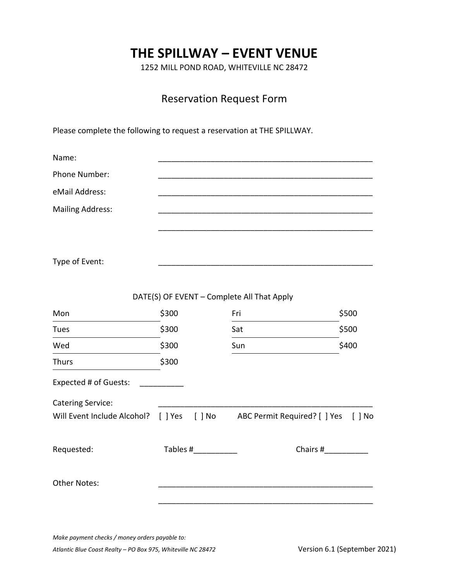# **THE SPILLWAY – EVENT VENUE**

1252 MILL POND ROAD, WHITEVILLE NC 28472

## Reservation Request Form

Please complete the following to request a reservation at THE SPILLWAY.

| Name:                    |          |                                                                                |          |
|--------------------------|----------|--------------------------------------------------------------------------------|----------|
| Phone Number:            |          |                                                                                |          |
| eMail Address:           |          |                                                                                |          |
| <b>Mailing Address:</b>  |          |                                                                                |          |
|                          |          |                                                                                |          |
|                          |          |                                                                                |          |
| Type of Event:           |          |                                                                                |          |
|                          |          |                                                                                |          |
|                          |          | DATE(S) OF EVENT - Complete All That Apply                                     |          |
| Mon                      | \$300    | Fri                                                                            | \$500    |
| Tues                     | \$300    | Sat                                                                            | \$500    |
| Wed                      | \$300    | Sun                                                                            | \$400    |
| <b>Thurs</b>             | \$300    |                                                                                |          |
| Expected # of Guests:    |          |                                                                                |          |
| <b>Catering Service:</b> |          |                                                                                |          |
|                          |          | Will Event Include Alcohol? [ ] Yes [ ] No ABC Permit Required? [ ] Yes [ ] No |          |
|                          |          |                                                                                |          |
| Requested:               | Tables # |                                                                                | Chairs # |
|                          |          |                                                                                |          |
| <b>Other Notes:</b>      |          |                                                                                |          |
|                          |          |                                                                                |          |

*Make payment checks / money orders payable to:* 

*Atlantic Blue Coast Realty – PO Box 975, Whiteville NC 28472* Version 6.1 (September 2021)